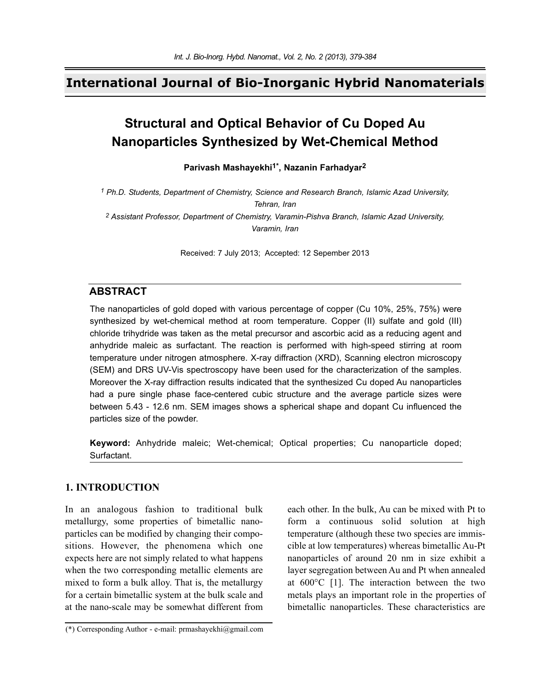## **International Journal of Bio-Inorganic Hybrid Nanomaterials**

# **Structural and Optical Behavior of Cu Doped Au Nanoparticles Synthesized by Wet-Chemical Method**

**Parivash Mashayekhi1\*, Nazanin Farhadyar2**

*1 Ph.D. Students, Department of Chemistry, Science and Research Branch, Islamic Azad University, Tehran, Iran 2 Assistant Professor, Department of Chemistry, Varamin-Pishva Branch, Islamic Azad University,*

*Varamin, Iran*

Received: 7 July 2013; Accepted: 12 Sepember 2013

### **ABSTRACT**

The nanoparticles of gold doped with various percentage of copper (Cu 10%, 25%, 75%) were synthesized by wet-chemical method at room temperature. Copper (II) sulfate and gold (III) chloride trihydride was taken as the metal precursor and ascorbic acid as a reducing agent and anhydride maleic as surfactant. The reaction is performed with high-speed stirring at room temperature under nitrogen atmosphere. X-ray diffraction (XRD), Scanning electron microscopy (SEM) and DRS UV-Vis spectroscopy have been used for the characterization of the samples. Moreover the X-ray diffraction results indicated that the synthesized Cu doped Au nanoparticles had a pure single phase face-centered cubic structure and the average particle sizes were between 5.43 - 12.6 nm. SEM images shows a spherical shape and dopant Cu influenced the particles size of the powder.

**Keyword:** Anhydride maleic; Wet-chemical; Optical properties; Cu nanoparticle doped; Surfactant.

### **1. INTRODUCTION**

In an analogous fashion to traditional bulk metallurgy, some properties of bimetallic nanoparticles can be modified by changing their compositions. However, the phenomena which one expects here are not simply related to what happens when the two corresponding metallic elements are mixed to form a bulk alloy. That is, the metallurgy for a certain bimetallic system at the bulk scale and at the nano-scale may be somewhat different from

each other. In the bulk, Au can be mixed with Pt to form a continuous solid solution at high temperature (although these two species are immiscible at low temperatures) whereas bimetallic Au-Pt nanoparticles of around 20 nm in size exhibit a layer segregation between Au and Pt when annealed at 600°C [1]. The interaction between the two metals plays an important role in the properties of bimetallic nanoparticles. These characteristics are

<sup>(\*)</sup> Corresponding Author - e-mail: prmashayekhi@gmail.com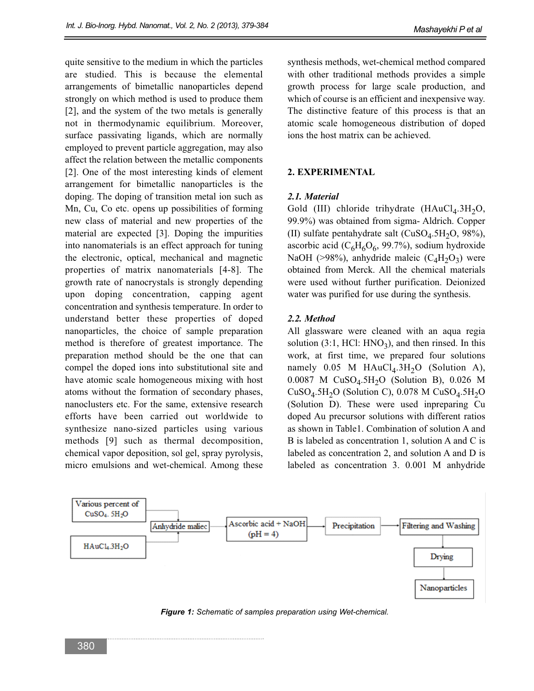quite sensitive to the medium in which the particles are studied. This is because the elemental arrangements of bimetallic nanoparticles depend strongly on which method is used to produce them [2], and the system of the two metals is generally not in thermodynamic equilibrium. Moreover, surface passivating ligands, which are normally employed to prevent particle aggregation, may also affect the relation between the metallic components [2]. One of the most interesting kinds of element arrangement for bimetallic nanoparticles is the doping. The doping of transition metal ion such as Mn, Cu, Co etc. opens up possibilities of forming new class of material and new properties of the material are expected [3]. Doping the impurities into nanomaterials is an effect approach for tuning the electronic, optical, mechanical and magnetic properties of matrix nanomaterials [4-8]. The growth rate of nanocrystals is strongly depending upon doping concentration, capping agent concentration and synthesis temperature. In order to understand better these properties of doped nanoparticles, the choice of sample preparation method is therefore of greatest importance. The preparation method should be the one that can compel the doped ions into substitutional site and have atomic scale homogeneous mixing with host atoms without the formation of secondary phases, nanoclusters etc. For the same, extensive research efforts have been carried out worldwide to synthesize nano-sized particles using various methods [9] such as thermal decomposition, chemical vapor deposition, sol gel, spray pyrolysis, micro emulsions and wet-chemical. Among these synthesis methods, wet-chemical method compared with other traditional methods provides a simple growth process for large scale production, and which of course is an efficient and inexpensive way. The distinctive feature of this process is that an atomic scale homogeneous distribution of doped ions the host matrix can be achieved.

### **2. EXPERIMENTAL**

#### *2.1. Material*

Gold (III) chloride trihydrate  $(HAuCl<sub>4</sub>.3H<sub>2</sub>O,$ 99.9%) was obtained from sigma- Aldrich. Copper (II) sulfate pentahydrate salt ( $CuSO<sub>4</sub>$ .5H<sub>2</sub>O, 98%), ascorbic acid ( $C_6H_6O_6$ , 99.7%), sodium hydroxide NaOH (>98%), anhydride maleic  $(C_4H_2O_3)$  were obtained from Merck. All the chemical materials were used without further purification. Deionized water was purified for use during the synthesis.

#### *2.2. Method*

All glassware were cleaned with an aqua regia solution  $(3:1, HCl: HNO<sub>3</sub>)$ , and then rinsed. In this work, at first time, we prepared four solutions namely  $0.05$  M HAuCl<sub>4</sub>.3H<sub>2</sub>O (Solution A), 0.0087 M  $CuSO<sub>4</sub>.5H<sub>2</sub>O$  (Solution B), 0.026 M  $CuSO<sub>4</sub>.5H<sub>2</sub>O$  (Solution C), 0.078 M  $CuSO<sub>4</sub>.5H<sub>2</sub>O$ (Solution D). These were used inpreparing Cu doped Au precursor solutions with different ratios as shown in Table1. Combination of solution A and B is labeled as concentration 1, solution A and C is labeled as concentration 2, and solution A and D is labeled as concentration 3. 0.001 M anhydride



*Figure 1: Schematic of samples preparation using Wet-chemical.*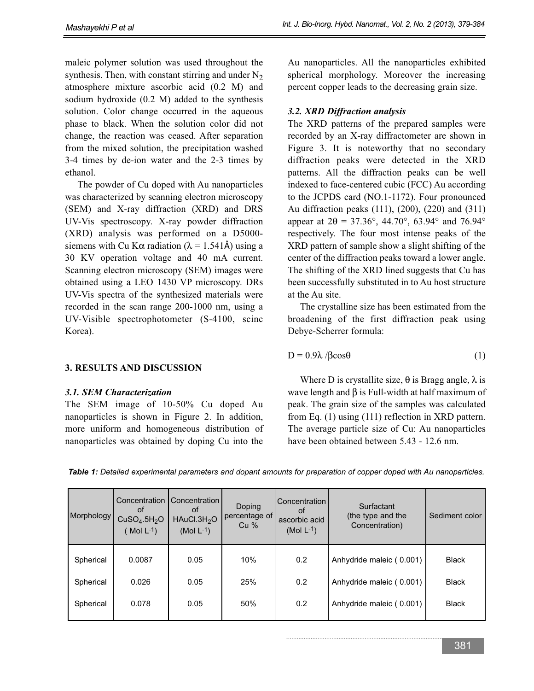maleic polymer solution was used throughout the synthesis. Then, with constant stirring and under  $N<sub>2</sub>$ atmosphere mixture ascorbic acid (0.2 M) and sodium hydroxide (0.2 M) added to the synthesis solution. Color change occurred in the aqueous phase to black. When the solution color did not change, the reaction was ceased. After separation from the mixed solution, the precipitation washed 3-4 times by de-ion water and the 2-3 times by ethanol.

The powder of Cu doped with Au nanoparticles was characterized by scanning electron microscopy (SEM) and X-ray diffraction (XRD) and DRS UV-Vis spectroscopy. X-ray powder diffraction (XRD) analysis was performed on a D5000 siemens with Cu K $\alpha$  radiation ( $\lambda = 1.541\text{\AA}$ ) using a 30 KV operation voltage and 40 mA current. Scanning electron microscopy (SEM) images were obtained using a LEO 1430 VP microscopy. DRs UV-Vis spectra of the synthesized materials were recorded in the scan range 200-1000 nm, using a UV-Visible spectrophotometer (S-4100, scinc Korea).

### **3. RESULTS AND DISCUSSION**

### *3.1. SEM Characterization*

The SEM image of 10-50% Cu doped Au nanoparticles is shown in Figure 2. In addition, more uniform and homogeneous distribution of nanoparticles was obtained by doping Cu into the

Au nanoparticles. All the nanoparticles exhibited spherical morphology. Moreover the increasing percent copper leads to the decreasing grain size.

### *3.2. XRD Diffraction analysis*

The XRD patterns of the prepared samples were recorded by an X-ray diffractometer are shown in Figure 3. It is noteworthy that no secondary diffraction peaks were detected in the XRD patterns. All the diffraction peaks can be well indexed to face-centered cubic (FCC) Au according to the JCPDS card (NO.1-1172). Four pronounced Au diffraction peaks (111), (200), (220) and (311) appear at  $2\theta = 37.36^{\circ}$ , 44.70°, 63.94° and 76.94° respectively. The four most intense peaks of the XRD pattern of sample show a slight shifting of the center of the diffraction peaks toward a lower angle. The shifting of the XRD lined suggests that Cu has been successfully substituted in to Au host structure at the Au site.

The crystalline size has been estimated from the broadening of the first diffraction peak using Debye-Scherrer formula:

$$
D = 0.9\lambda / \beta \cos \theta \tag{1}
$$

Where D is crystallite size,  $\theta$  is Bragg angle,  $\lambda$  is wave length and  $\beta$  is Full-width at half maximum of peak. The grain size of the samples was calculated from Eq. (1) using (111) reflection in XRD pattern. The average particle size of Cu: Au nanoparticles have been obtained between 5.43 - 12.6 nm.

| Table 1: Detailed experimental parameters and dopant amounts for preparation of copper doped with Au nanoparticles. |  |  |  |
|---------------------------------------------------------------------------------------------------------------------|--|--|--|
|                                                                                                                     |  |  |  |

| Morphology | Concentration<br>οf<br>CuSO <sub>4</sub> .5H <sub>2</sub> O<br>Mol $L^{-1}$ ) | Concentration<br>0t<br>HAuCl.3H <sub>2</sub> O<br>(Mol $L^{-1}$ ) | Doping<br>percentage of<br>$Cu$ % | <b>Concentration</b><br>of<br>ascorbic acid<br>$(Mol L-1)$ | Surfactant<br>(the type and the<br>Concentration) | Sediment color |
|------------|-------------------------------------------------------------------------------|-------------------------------------------------------------------|-----------------------------------|------------------------------------------------------------|---------------------------------------------------|----------------|
| Spherical  | 0.0087                                                                        | 0.05                                                              | 10%                               | 0.2                                                        | Anhydride maleic (0.001)                          | <b>Black</b>   |
| Spherical  | 0.026                                                                         | 0.05                                                              | 25%                               | 0.2                                                        | Anhydride maleic (0.001)                          | <b>Black</b>   |
| Spherical  | 0.078                                                                         | 0.05                                                              | 50%                               | 0.2                                                        | Anhydride maleic (0.001)                          | <b>Black</b>   |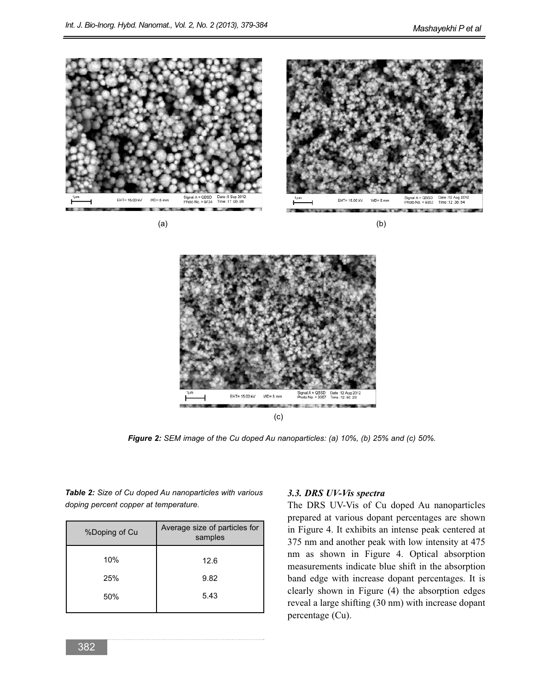



*Figure 2: SEM image of the Cu doped Au nanoparticles: (a) 10%, (b) 25% and (c) 50%.*

*Table 2: Size of Cu doped Au nanoparticles with various doping percent copper at temperature.* 

| %Doping of Cu | Average size of particles for<br>samples |  |  |
|---------------|------------------------------------------|--|--|
| 10%           | 12.6                                     |  |  |
| 25%           | 9.82                                     |  |  |
| 50%           | 5.43                                     |  |  |
|               |                                          |  |  |

#### *3.3. DRS UV-Vis spectra*

The DRS UV-Vis of Cu doped Au nanoparticles prepared at various dopant percentages are shown in Figure 4. It exhibits an intense peak centered at 375 nm and another peak with low intensity at 475 nm as shown in Figure 4. Optical absorption measurements indicate blue shift in the absorption band edge with increase dopant percentages. It is clearly shown in Figure (4) the absorption edges reveal a large shifting (30 nm) with increase dopant percentage (Cu).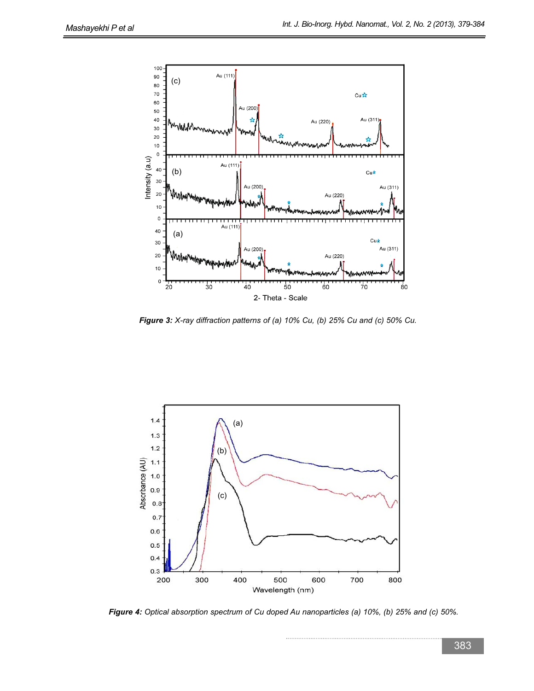

*Figure 3: X-ray diffraction patterns of (a) 10% Cu, (b) 25% Cu and (c) 50% Cu.*



*Figure 4: Optical absorption spectrum of Cu doped Au nanoparticles (a) 10%, (b) 25% and (c) 50%.*